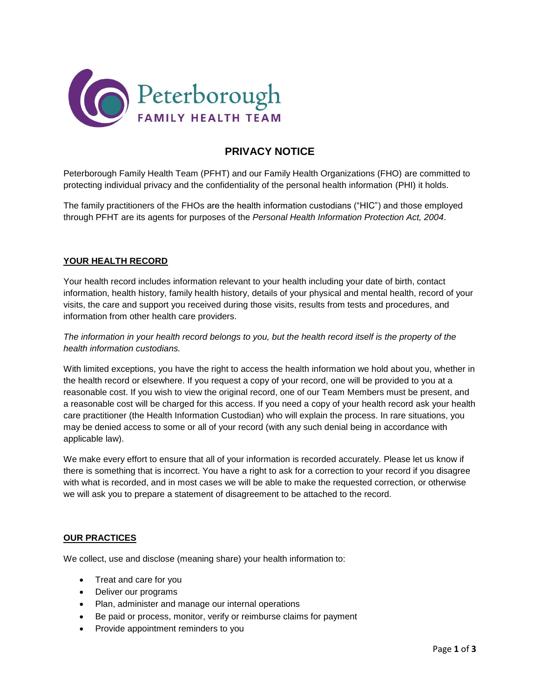

# **PRIVACY NOTICE**

Peterborough Family Health Team (PFHT) and our Family Health Organizations (FHO) are committed to protecting individual privacy and the confidentiality of the personal health information (PHI) it holds.

The family practitioners of the FHOs are the health information custodians ("HIC") and those employed through PFHT are its agents for purposes of the *Personal Health Information Protection Act, 2004*.

#### **YOUR HEALTH RECORD**

Your health record includes information relevant to your health including your date of birth, contact information, health history, family health history, details of your physical and mental health, record of your visits, the care and support you received during those visits, results from tests and procedures, and information from other health care providers.

### *The information in your health record belongs to you, but the health record itself is the property of the health information custodians.*

With limited exceptions, you have the right to access the health information we hold about you, whether in the health record or elsewhere. If you request a copy of your record, one will be provided to you at a reasonable cost. If you wish to view the original record, one of our Team Members must be present, and a reasonable cost will be charged for this access. If you need a copy of your health record ask your health care practitioner (the Health Information Custodian) who will explain the process. In rare situations, you may be denied access to some or all of your record (with any such denial being in accordance with applicable law).

We make every effort to ensure that all of your information is recorded accurately. Please let us know if there is something that is incorrect. You have a right to ask for a correction to your record if you disagree with what is recorded, and in most cases we will be able to make the requested correction, or otherwise we will ask you to prepare a statement of disagreement to be attached to the record.

#### **OUR PRACTICES**

We collect, use and disclose (meaning share) your health information to:

- Treat and care for you
- Deliver our programs
- Plan, administer and manage our internal operations
- Be paid or process, monitor, verify or reimburse claims for payment
- Provide appointment reminders to you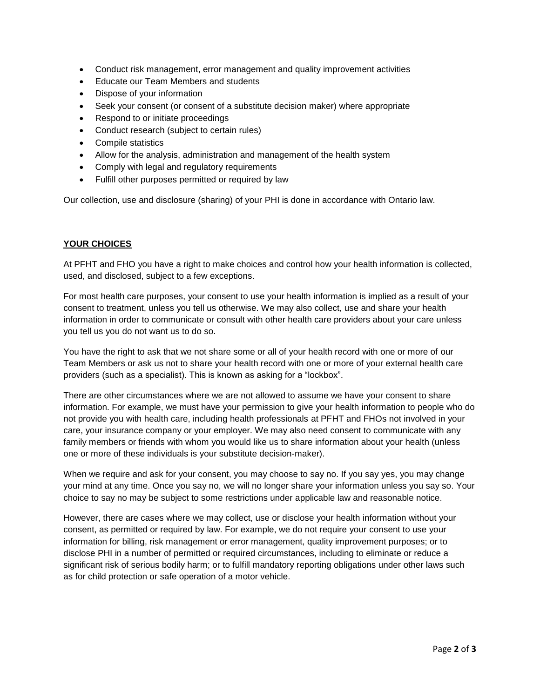- Conduct risk management, error management and quality improvement activities
- Educate our Team Members and students
- Dispose of your information
- Seek your consent (or consent of a substitute decision maker) where appropriate
- Respond to or initiate proceedings
- Conduct research (subject to certain rules)
- Compile statistics
- Allow for the analysis, administration and management of the health system
- Comply with legal and regulatory requirements
- Fulfill other purposes permitted or required by law

Our collection, use and disclosure (sharing) of your PHI is done in accordance with Ontario law.

#### **YOUR CHOICES**

At PFHT and FHO you have a right to make choices and control how your health information is collected, used, and disclosed, subject to a few exceptions.

For most health care purposes, your consent to use your health information is implied as a result of your consent to treatment, unless you tell us otherwise. We may also collect, use and share your health information in order to communicate or consult with other health care providers about your care unless you tell us you do not want us to do so.

You have the right to ask that we not share some or all of your health record with one or more of our Team Members or ask us not to share your health record with one or more of your external health care providers (such as a specialist). This is known as asking for a "lockbox".

There are other circumstances where we are not allowed to assume we have your consent to share information. For example, we must have your permission to give your health information to people who do not provide you with health care, including health professionals at PFHT and FHOs not involved in your care, your insurance company or your employer. We may also need consent to communicate with any family members or friends with whom you would like us to share information about your health (unless one or more of these individuals is your substitute decision-maker).

When we require and ask for your consent, you may choose to say no. If you say yes, you may change your mind at any time. Once you say no, we will no longer share your information unless you say so. Your choice to say no may be subject to some restrictions under applicable law and reasonable notice.

However, there are cases where we may collect, use or disclose your health information without your consent, as permitted or required by law. For example, we do not require your consent to use your information for billing, risk management or error management, quality improvement purposes; or to disclose PHI in a number of permitted or required circumstances, including to eliminate or reduce a significant risk of serious bodily harm; or to fulfill mandatory reporting obligations under other laws such as for child protection or safe operation of a motor vehicle.